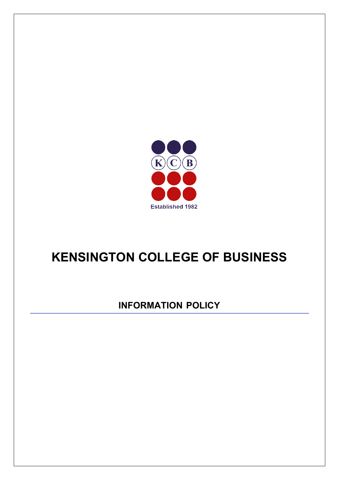

# **KENSINGTON COLLEGE OF BUSINESS**

**INFORMATION POLICY**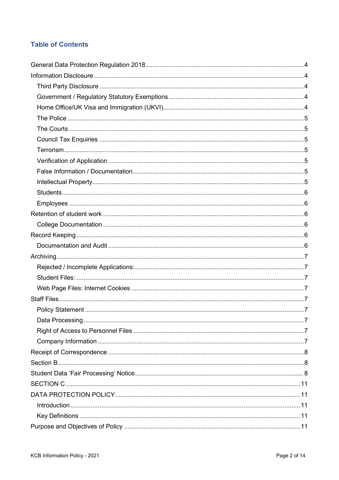# **Table of Contents**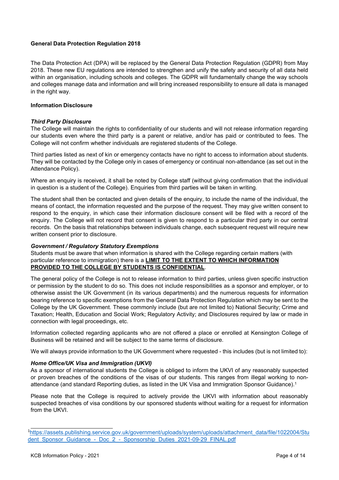# <span id="page-3-0"></span>**General Data Protection Regulation 2018**

The Data Protection Act (DPA) will be replaced by the General Data Protection Regulation (GDPR) from May 2018. These new EU regulations are intended to strengthen and unify the safety and security of all data held within an organisation, including schools and colleges. The GDPR will fundamentally change the way schools and colleges manage data and information and will bring increased responsibility to ensure all data is managed in the right way.

# <span id="page-3-1"></span>**Information Disclosure**

### <span id="page-3-2"></span>*Third Party Disclosure*

The College will maintain the rights to confidentiality of our students and will not release information regarding our students even where the third party is a parent or relative, and/or has paid or contributed to fees. The College will not confirm whether individuals are registered students of the College.

Third parties listed as next of kin or emergency contacts have no right to access to information about students. They will be contacted by the College only in cases of emergency or continual non-attendance (as set out in the Attendance Policy).

Where an enquiry is received, it shall be noted by College staff (without giving confirmation that the individual in question is a student of the College). Enquiries from third parties will be taken in writing.

The student shall then be contacted and given details of the enquiry, to include the name of the individual, the means of contact, the information requested and the purpose of the request. They may give written consent to respond to the enquiry, in which case their information disclosure consent will be filed with a record of the enquiry. The College will not record that consent is given to respond to a particular third party in our central records. On the basis that relationships between individuals change, each subsequent request will require new written consent prior to disclosure.

# <span id="page-3-3"></span>*Government / Regulatory Statutory Exemptions*

Students must be aware that when information is shared with the College regarding certain matters (with particular reference to immigration) there is a **LIMIT TO THE EXTENT TO WHICH INFORMATION PROVIDED TO THE COLLEGE BY STUDENTS IS CONFIDENTIAL**.

The general policy of the College is not to release information to third parties, unless given specific instruction or permission by the student to do so. This does not include responsibilities as a sponsor and employer, or to otherwise assist the UK Government (in its various departments) and the numerous requests for information bearing reference to specific exemptions from the General Data Protection Regulation which may be sent to the College by the UK Government. These commonly include (but are not limited to) National Security; Crime and Taxation; Health, Education and Social Work; Regulatory Activity; and Disclosures required by law or made in connection with legal proceedings, etc.

Information collected regarding applicants who are not offered a place or enrolled at Kensington College of Business will be retained and will be subject to the same terms of disclosure.

We will always provide information to the UK Government where requested - this includes (but is not limited to):

# <span id="page-3-4"></span>*Home Office/UK Visa and Immigration (UKVI)*

As a sponsor of international students the College is obliged to inform the UKVI of any reasonably suspected or proven breaches of the conditions of the visas of our students. This ranges from illegal working to nonattendance (and standard Reporting duties, as listed in the UK Visa and Immigration Sponsor Guidance).1

Please note that the College is required to actively provide the UKVI with information about reasonably suspected breaches of visa conditions by our sponsored students without waiting for a request for information from the UKVI.

<sup>1</sup> [https://assets.publishing.service.gov.uk/government/uploads/system/uploads/attachment\\_data/file/1022004/Stu](https://assets.publishing.service.gov.uk/government/uploads/system/uploads/attachment_data/file/1022004/Student_Sponsor_Guidance_-_Doc_2_-_Sponsorship_Duties_2021-09-29_FINAL.pdf) dent Sponsor Guidance - Doc 2 - Sponsorship Duties 2021-09-29 FINAL.pdf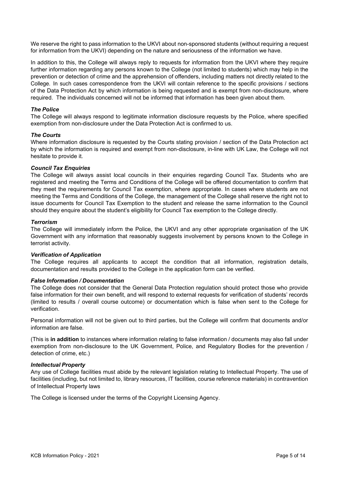We reserve the right to pass information to the UKVI about non-sponsored students (without requiring a request for information from the UKVI) depending on the nature and seriousness of the information we have.

In addition to this, the College will always reply to requests for information from the UKVI where they require further information regarding any persons known to the College (not limited to students) which may help in the prevention or detection of crime and the apprehension of offenders, including matters not directly related to the College. In such cases correspondence from the UKVI will contain reference to the specific provisions / sections of the Data Protection Act by which information is being requested and is exempt from non-disclosure, where required. The individuals concerned will not be informed that information has been given about them.

# <span id="page-4-0"></span>*The Police*

The College will always respond to legitimate information disclosure requests by the Police, where specified exemption from non-disclosure under the Data Protection Act is confirmed to us.

### <span id="page-4-1"></span>*The Courts*

Where information disclosure is requested by the Courts stating provision / section of the Data Protection act by which the information is required and exempt from non-disclosure, in-line with UK Law, the College will not hesitate to provide it.

### <span id="page-4-2"></span>*Council Tax Enquiries*

The College will always assist local councils in their enquiries regarding Council Tax. Students who are registered and meeting the Terms and Conditions of the College will be offered documentation to confirm that they meet the requirements for Council Tax exemption, where appropriate. In cases where students are not meeting the Terms and Conditions of the College, the management of the College shall reserve the right not to issue documents for Council Tax Exemption to the student and release the same information to the Council should they enquire about the student's eligibility for Council Tax exemption to the College directly.

#### <span id="page-4-3"></span>*Terrorism*

The College will immediately inform the Police, the UKVI and any other appropriate organisation of the UK Government with any information that reasonably suggests involvement by persons known to the College in terrorist activity.

#### <span id="page-4-4"></span>*Verification of Application*

The College requires all applicants to accept the condition that all information, registration details, documentation and results provided to the College in the application form can be verified.

#### <span id="page-4-5"></span>*False Information / Documentation*

The College does not consider that the General Data Protection regulation should protect those who provide false information for their own benefit, and will respond to external requests for verification of students' records (limited to results / overall course outcome) or documentation which is false when sent to the College for verification.

Personal information will not be given out to third parties, but the College will confirm that documents and/or information are false.

(This is **in addition** to instances where information relating to false information / documents may also fall under exemption from non-disclosure to the UK Government, Police, and Regulatory Bodies for the prevention / detection of crime, etc.)

#### <span id="page-4-6"></span>*Intellectual Property*

Any use of College facilities must abide by the relevant legislation relating to Intellectual Property. The use of facilities (including, but not limited to, library resources, IT facilities, course reference materials) in contravention of Intellectual Property laws

The College is licensed under the terms of the Copyright Licensing Agency.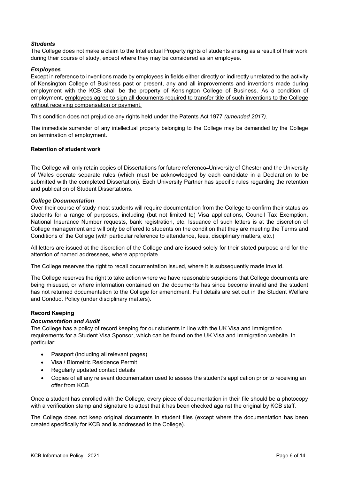# <span id="page-5-0"></span>*Students*

The College does not make a claim to the Intellectual Property rights of students arising as a result of their work during their course of study, except where they may be considered as an employee.

### <span id="page-5-1"></span>*Employees*

Except in reference to inventions made by employees in fields either directly or indirectly unrelated to the activity of Kensington College of Business past or present, any and all improvements and inventions made during employment with the KCB shall be the property of Kensington College of Business. As a condition of employment, employees agree to sign all documents required to transfer title of such inventions to the College without receiving compensation or payment.

This condition does not prejudice any rights held under the Patents Act 1977 *(amended 2017).*

The immediate surrender of any intellectual property belonging to the College may be demanded by the College on termination of employment.

### <span id="page-5-2"></span>**Retention of student work**

The College will only retain copies of Dissertations for future reference University of Chester and the University of Wales operate separate rules (which must be acknowledged by each candidate in a Declaration to be submitted with the completed Dissertation). Each University Partner has specific rules regarding the retention and publication of Student Dissertations.

### <span id="page-5-3"></span>*College Documentation*

Over their course of study most students will require documentation from the College to confirm their status as students for a range of purposes, including (but not limited to) Visa applications, Council Tax Exemption, National Insurance Number requests, bank registration, etc. Issuance of such letters is at the discretion of College management and will only be offered to students on the condition that they are meeting the Terms and Conditions of the College (with particular reference to attendance, fees, disciplinary matters, etc.)

All letters are issued at the discretion of the College and are issued solely for their stated purpose and for the attention of named addressees, where appropriate.

The College reserves the right to recall documentation issued, where it is subsequently made invalid.

The College reserves the right to take action where we have reasonable suspicions that College documents are being misused, or where information contained on the documents has since become invalid and the student has not returned documentation to the College for amendment. Full details are set out in the Student Welfare and Conduct Policy (under disciplinary matters).

# <span id="page-5-4"></span>**Record Keeping**

### <span id="page-5-5"></span>*Documentation and Audit*

The College has a policy of record keeping for our students in line with the UK Visa and Immigration requirements for a Student Visa Sponsor, which can be found on the UK Visa and Immigration website. In particular:

- Passport (including all relevant pages)
- Visa / Biometric Residence Permit
- Regularly updated contact details
- Copies of all any relevant documentation used to assess the student's application prior to receiving an offer from KCB

Once a student has enrolled with the College, every piece of documentation in their file should be a photocopy with a verification stamp and signature to attest that it has been checked against the original by KCB staff.

The College does not keep original documents in student files (except where the documentation has been created specifically for KCB and is addressed to the College).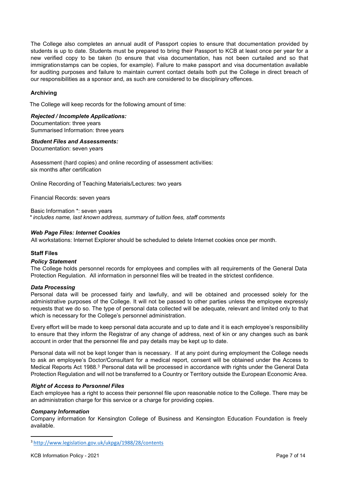The College also completes an annual audit of Passport copies to ensure that documentation provided by students is up to date. Students must be prepared to bring their Passport to KCB at least once per year for a new verified copy to be taken (to ensure that visa documentation, has not been curtailed and so that immigrationstamps can be copies, for example). Failure to make passport and visa documentation available for auditing purposes and failure to maintain current contact details both put the College in direct breach of our responsibilities as a sponsor and, as such are considered to be disciplinary offences.

# <span id="page-6-0"></span>**Archiving**

The College will keep records for the following amount of time:

### <span id="page-6-1"></span>*Rejected / Incomplete Applications:*

 Documentation: three years Summarised Information: three years

## <span id="page-6-2"></span>*Student Files and Assessments:*

Documentation: seven years

Assessment (hard copies) and online recording of assessment activities: six months after certification

Online Recording of Teaching Materials/Lectures: two years

Financial Records: seven years

Basic Information \*: seven years *\* includes name, last known address, summary of tuition fees, staff comments*

### <span id="page-6-3"></span>*Web Page Files: Internet Cookies*

All workstations: Internet Explorer should be scheduled to delete Internet cookies once per month.

# <span id="page-6-4"></span>**Staff Files**

#### <span id="page-6-5"></span>*Policy Statement*

The College holds personnel records for employees and complies with all requirements of the General Data Protection Regulation. All information in personnel files will be treated in the strictest confidence.

#### <span id="page-6-6"></span>*Data Processing*

Personal data will be processed fairly and lawfully, and will be obtained and processed solely for the administrative purposes of the College. It will not be passed to other parties unless the employee expressly requests that we do so. The type of personal data collected will be adequate, relevant and limited only to that which is necessary for the College's personnel administration.

Every effort will be made to keep personal data accurate and up to date and it is each employee's responsibility to ensure that they inform the Registrar of any change of address, next of kin or any changes such as bank account in order that the personnel file and pay details may be kept up to date.

Personal data will not be kept longer than is necessary. If at any point during employment the College needs to ask an employee's Doctor/Consultant for a medical report, consent will be obtained under the Access to Medical Reports Act 1988.3 Personal data will be processed in accordance with rights under the General Data Protection Regulation and will not be transferred to a Country or Territory outside the European Economic Area.

#### <span id="page-6-7"></span> *Right of Access to Personnel Files*

Each employee has a right to access their personnel file upon reasonable notice to the College. There may be an administration charge for this service or a charge for providing copies.

# <span id="page-6-8"></span>*Company Information*

Company information for Kensington College of Business and Kensington Education Foundation is freely available.

<sup>3</sup> <http://www.legislation.gov.uk/ukpga/1988/28/contents>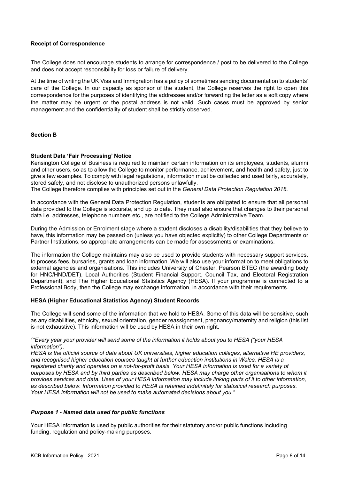#### <span id="page-7-0"></span>**Receipt of Correspondence**

The College does not encourage students to arrange for correspondence / post to be delivered to the College and does not accept responsibility for loss or failure of delivery.

At the time of writing the UK Visa and Immigration has a policy of sometimes sending documentation to students' care of the College. In our capacity as sponsor of the student, the College reserves the right to open this correspondence for the purposes of identifying the addressee and/or forwarding the letter as a soft copy where the matter may be urgent or the postal address is not valid. Such cases must be approved by senior management and the confidentiality of student shall be strictly observed.

### <span id="page-7-1"></span>**Section B**

### <span id="page-7-2"></span>**Student Data 'Fair Processing' Notice**

Kensington College of Business is required to maintain certain information on its employees, students, alumni and other users, so as to allow the College to monitor performance, achievement, and health and safety, just to give a few examples. To comply with legal regulations, information must be collected and used fairly, accurately, stored safely, and not disclose to unauthorized persons unlawfully.

The College therefore complies with principles set out in the *General Data Protection Regulation 2018*.

In accordance with the General Data Protection Regulation, students are obligated to ensure that all personal data provided to the College is accurate, and up to date. They must also ensure that changes to their personal data i.e. addresses, telephone numbers etc., are notified to the College Administrative Team.

During the Admission or Enrolment stage where a student discloses a disability/disabilities that they believe to have, this information may be passed on (unless you have objected explicitly) to other College Departments or Partner Institutions, so appropriate arrangements can be made for assessments or examinations.

The information the College maintains may also be used to provide students with necessary support services, to process fees, bursaries, grants and loan information. We will also use your information to meet obligations to external agencies and organisations. This includes University of Chester, Pearson BTEC (the awarding body for HNC/HND/DET), Local Authorities (Student Financial Support, Council Tax, and Electoral Registration Department), and The Higher Educational Statistics Agency (HESA). If your programme is connected to a Professional Body, then the College may exchange information, in accordance with their requirements.

#### **HESA (Higher Educational Statistics Agency) Student Records**

The College will send some of the information that we hold to HESA. Some of this data will be sensitive, such as any disabilities, ethnicity, sexual orientation, gender reassignment, pregnancy/maternity and religion (this list is not exhaustive). This information will be used by HESA in their own right.

#### <sup>1</sup>"Every year your provider will send some of the information it holds about you to HESA ("your HESA *information").*

*HESA is the official source of data about UK universities, higher education colleges, alternative HE providers, and recognised higher education courses taught at further education institutions in Wales. HESA is a registered charity and operates on a not-for-profit basis. Your HESA information is used for a variety of purposes by HESA and by third parties as described below. HESA may charge other organisations to whom it provides services and data. Uses of your HESA information may include linking parts of it to other information, as described below. Information provided to HESA is retained indefinitely for statistical research purposes. Your HESA information will not be used to make automated decisions about you."*

#### *Purpose 1 - Named data used for public functions*

Your HESA information is used by public authorities for their statutory and/or public functions including funding, regulation and policy-making purposes.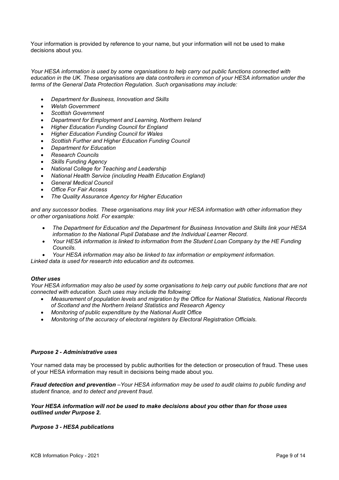Your information is provided by reference to your name, but your information will not be used to make decisions about you.

*Your HESA information is used by some organisations to help carry out public functions connected with education in the UK. These organisations are data controllers in common of your HESA information under the terms of the General Data Protection Regulation. Such organisations may include:*

- *Department for Business, Innovation and Skills*
- *Welsh Government*
- *Scottish Government*
- *Department for Employment and Learning, Northern Ireland*
- *Higher Education Funding Council for England*
- *Higher Education Funding Council for Wales*
- *Scottish Further and Higher Education Funding Council*
- *Department for Education*
- *Research Councils*
- *Skills Funding Agency*
- *National College for Teaching and Leadership*
- *National Health Service (including Health Education England)*
- *General Medical Council*
- *Office For Fair Access*
- *The Quality Assurance Agency for Higher Education*

*and any successor bodies. These organisations may link your HESA information with other information they or other organisations hold. For example:*

- *The Department for Education and the Department for Business Innovation and Skills link your HESA information to the National Pupil Database and the Individual Learner Record.*
- *Your HESA information is linked to information from the Student Loan Company by the HE Funding Councils.*
- *Your HESA information may also be linked to tax information or employment information.*

*Linked data is used for research into education and its outcomes.*

#### *Other uses*

Your HESA information may also be used by some organisations to help carry out public functions that are not *connected with education. Such uses may include the following:*

- *Measurement of population levels and migration by the Office for National Statistics, National Records of Scotland and the Northern Ireland Statistics and Research Agency*
- *Monitoring of public expenditure by the National Audit Office*
- *Monitoring of the accuracy of electoral registers by Electoral Registration Officials.*

#### *Purpose 2 - Administrative uses*

Your named data may be processed by public authorities for the detection or prosecution of fraud. These uses of your HESA information may result in decisions being made about you.

*Fraud detection and prevention –Your HESA information may be used to audit claims to public funding and student finance, and to detect and prevent fraud.*

#### *Your HESA information will not be used to make decisions about you other than for those uses outlined under Purpose 2.*

#### *Purpose 3 - HESA publications*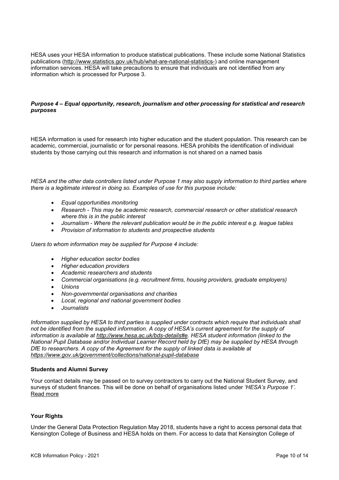HESA uses your HESA information to produce statistical publications. These include some National Statistics publications [\(http://www.statistics.gov.uk/hub/what-are-national-statistics-\) a](http://www.statistics.gov.uk/hub/what-are-national-statistics-))nd online management information services. HESA will take precautions to ensure that individuals are not identified from any information which is processed for Purpose 3.

#### *Purpose 4 – Equal opportunity, research, journalism and other processing for statistical and research purposes*

HESA information is used for research into higher education and the student population. This research can be academic, commercial, journalistic or for personal reasons. HESA prohibits the identification of individual students by those carrying out this research and information is not shared on a named basis

HESA and the other data controllers listed under Purpose 1 may also supply information to third parties where *there is a legitimate interest in doing so. Examples of use for this purpose include:*

- *Equal opportunities monitoring*
- *Research - This may be academic research, commercial research or other statistical research where this is in the public interest*
- *Journalism - Where the relevant publication would be in the public interest e.g. league tables*
- *Provision of information to students and prospective students*

*Users to whom information may be supplied for Purpose 4 include:*

- *Higher education sector bodies*
- *Higher education providers*
- *Academic researchers and students*
- *Commercial organisations (e.g. recruitment firms, housing providers, graduate employers)*
- *Unions*
- *Non-governmental organisations and charities*
- *Local, regional and national government bodies*
- *Journalists*

*Information supplied by HESA to third parties is supplied under contracts which require that individuals shall not be identified from the supplied information. A copy of HESA's current agreement for the supply of information is available at [http://www.hesa.ac.uk/bds-details#e.](http://www.hesa.ac.uk/bds-details#e) HESA student information (linked to the National Pupil Database and/or Individual Learner Record held by DfE) may be supplied by HESA through DfE to researchers. A copy of the Agreement for the supply of linked data is available at http[s://www.gov.uk/government/collections/national-pupil-database](http://www.gov.uk/government/collections/national-pupil-database)*

#### **Students and Alumni Survey**

Your contact details may be passed on to survey contractors to carry out the National Student Survey, and surveys of student finances. This will be done on behalf of organisations listed under *'HESA's Purpose 1'*. Read more

#### **Your Rights**

Under the General Data Protection Regulation May 2018, students have a right to access personal data that Kensington College of Business and HESA holds on them. For access to data that Kensington College of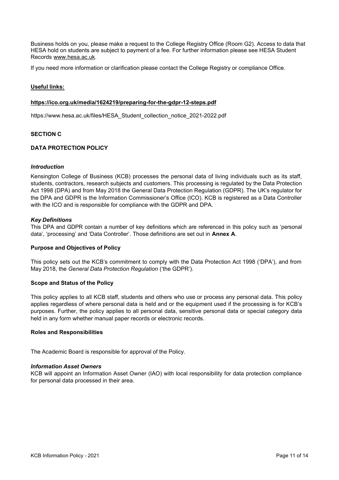Business holds on you, please make a request to the College Registry Office (Room G2). Access to data that HESA hold on students are subject to payment of a fee. For further information please see HESA Student Records [www.hesa.ac.uk.](http://www.hesa.ac.uk/)

If you need more information or clarification please contact the College Registry or compliance Office.

# **Useful links:**

#### **https://ico.org.uk/media/1624219/preparing-for-the-gdpr-12-steps.pdf**

https://www.hesa.ac.uk/files/HESA\_Student\_collection\_notice\_2021-2022.pdf

# **SECTION C**

# <span id="page-10-0"></span>**DATA PROTECTION POLICY**

#### <span id="page-10-1"></span>*Introduction*

Kensington College of Business (KCB) processes the personal data of living individuals such as its staff, students, contractors, research subjects and customers. This processing is regulated by the Data Protection Act 1998 (DPA) and from May 2018 the General Data Protection Regulation (GDPR). The UK's regulator for the DPA and GDPR is the Information Commissioner's Office (ICO). KCB is registered as a Data Controller with the ICO and is responsible for compliance with the GDPR and DPA.

#### <span id="page-10-2"></span>*Key Definitions*

This DPA and GDPR contain a number of key definitions which are referenced in this policy such as 'personal data', 'processing' and 'Data Controller'. Those definitions are set out in **Annex A**.

#### <span id="page-10-3"></span>**Purpose and Objectives of Policy**

This policy sets out the KCB's commitment to comply with the Data Protection Act 1998 ('DPA'), and from May 2018, the *General Data Protection Regulation* ('the GDPR').

#### <span id="page-10-4"></span>**Scope and Status of the Policy**

This policy applies to all KCB staff, students and others who use or process any personal data. This policy applies regardless of where personal data is held and or the equipment used if the processing is for KCB's purposes. Further, the policy applies to all personal data, sensitive personal data or special category data held in any form whether manual paper records or electronic records.

#### <span id="page-10-5"></span>**Roles and Responsibilities**

The Academic Board is responsible for approval of the Policy.

#### <span id="page-10-6"></span>*Information Asset Owners*

KCB will appoint an Information Asset Owner (IAO) with local responsibility for data protection compliance for personal data processed in their area.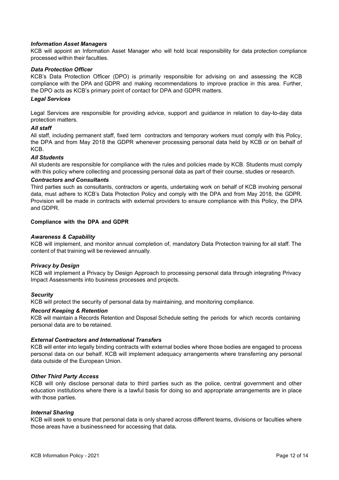#### <span id="page-11-0"></span>*Information Asset Managers*

KCB will appoint an Information Asset Manager who will hold local responsibility for data protection compliance processed within their faculties.

#### <span id="page-11-1"></span>*Data Protection Officer*

KCB's Data Protection Officer (DPO) is primarily responsible for advising on and assessing the KCB compliance with the DPA and GDPR and making recommendations to improve practice in this area. Further, the DPO acts as KCB's primary point of contact for DPA and GDPR matters.

#### <span id="page-11-2"></span>*Legal Services*

Legal Services are responsible for providing advice, support and guidance in relation to day-to-day data protection matters.

#### <span id="page-11-3"></span>*All staff*

All staff, including permanent staff, fixed term contractors and temporary workers must comply with this Policy, the DPA and from May 2018 the GDPR whenever processing personal data held by KCB or on behalf of KCB.

#### <span id="page-11-4"></span>*All Students*

All students are responsible for compliance with the rules and policies made by KCB. Students must comply with this policy where collecting and processing personal data as part of their course, studies or research.

#### <span id="page-11-5"></span>*Contractors and Consultants*

Third parties such as consultants, contractors or agents, undertaking work on behalf of KCB involving personal data, must adhere to KCB's Data Protection Policy and comply with the DPA and from May 2018, the GDPR. Provision will be made in contracts with external providers to ensure compliance with this Policy, the DPA and GDPR.

#### <span id="page-11-6"></span>**Compliance with the DPA and GDPR**

### <span id="page-11-7"></span>*Awareness & Capability*

KCB will implement, and monitor annual completion of, mandatory Data Protection training for all staff. The content of that training will be reviewed annually.

#### <span id="page-11-8"></span>*Privacy by Design*

KCB will implement a Privacy by Design Approach to processing personal data through integrating Privacy Impact Assessments into business processes and projects.

#### <span id="page-11-9"></span>*Security*

KCB will protect the security of personal data by maintaining, and monitoring compliance.

#### <span id="page-11-10"></span>*Record Keeping & Retention*

KCB will maintain a Records Retention and Disposal Schedule setting the periods for which records containing personal data are to be retained.

#### <span id="page-11-11"></span>*External Contractors and International Transfers*

KCB will enter into legally binding contracts with external bodies where those bodies are engaged to process personal data on our behalf. KCB will implement adequacy arrangements where transferring any personal data outside of the European Union.

#### <span id="page-11-12"></span>*Other Third Party Access*

KCB will only disclose personal data to third parties such as the police, central government and other education institutions where there is a lawful basis for doing so and appropriate arrangements are in place with those parties.

#### <span id="page-11-13"></span>*Internal Sharing*

KCB will seek to ensure that personal data is only shared across different teams, divisions or faculties where those areas have a businessneed for accessing that data**.**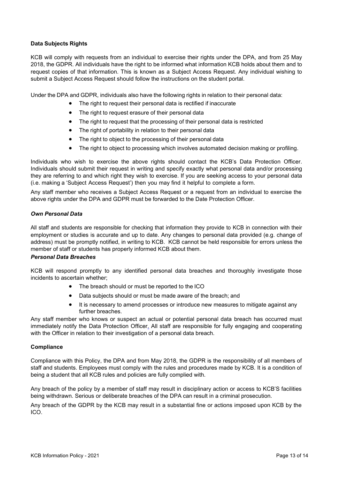# <span id="page-12-0"></span>**Data Subjects Rights**

KCB will comply with requests from an individual to exercise their rights under the DPA, and from 25 May 2018, the GDPR. All individuals have the right to be informed what information KCB holds about them and to request copies of that information. This is known as a Subject Access Request. Any individual wishing to submit a Subject Access Request should follow the instructions on the student portal.

Under the DPA and GDPR, individuals also have the following rights in relation to their personal data:

- The right to request their personal data is rectified if inaccurate
- The right to request erasure of their personal data
- The right to request that the processing of their personal data is restricted
- The right of portability in relation to their personal data
- The right to object to the processing of their personal data
- The right to object to processing which involves automated decision making or profiling.

Individuals who wish to exercise the above rights should contact the KCB's Data Protection Officer. Individuals should submit their request in writing and specify exactly what personal data and/or processing they are referring to and which right they wish to exercise. If you are seeking access to your personal data (i.e. making a 'Subject Access Request') then you may find it helpful to complete a form.

Any staff member who receives a Subject Access Request or a request from an individual to exercise the above rights under the DPA and GDPR must be forwarded to the Date Protection Officer.

#### <span id="page-12-1"></span>*Own Personal Data*

All staff and students are responsible for checking that information they provide to KCB in connection with their employment or studies is accurate and up to date. Any changes to personal data provided (e.g. change of address) must be promptly notified, in writing to KCB. KCB cannot be held responsible for errors unless the member of staff or students has properly informed KCB about them.

#### <span id="page-12-2"></span>*Personal Data Breaches*

KCB will respond promptly to any identified personal data breaches and thoroughly investigate those incidents to ascertain whether;

- The breach should or must be reported to the ICO
- Data subjects should or must be made aware of the breach; and
- It is necessary to amend processes or introduce new measures to mitigate against any further breaches.

Any staff member who knows or suspect an actual or potential personal data breach has occurred must immediately notify the Data Protection Officer. All staff are responsible for fully engaging and cooperating with the Officer in relation to their investigation of a personal data breach.

#### <span id="page-12-3"></span>**Compliance**

Compliance with this Policy, the DPA and from May 2018, the GDPR is the responsibility of all members of staff and students. Employees must comply with the rules and procedures made by KCB. It is a condition of being a student that all KCB rules and policies are fully complied with.

Any breach of the policy by a member of staff may result in disciplinary action or access to KCB'S facilities being withdrawn. Serious or deliberate breaches of the DPA can result in a criminal prosecution.

Any breach of the GDPR by the KCB may result in a substantial fine or actions imposed upon KCB by the ICO.